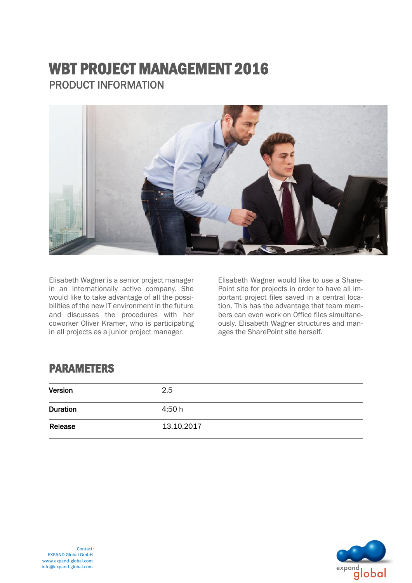# WBT PROJECT MANAGEMENT 2016 PRODUCT INFORMATION



Elisabeth Wagner is a senior project manager in an internationally active company. She would like to take advantage of all the possibilities of the new IT environment in the future and discusses the procedures with her coworker Oliver Kramer, who is participating in all projects as a junior project manager.

Elisabeth Wagner would like to use a Share-Point site for projects in order to have all important project files saved in a central location. This has the advantage that team members can even work on Office files simultaneously. Elisabeth Wagner structures and manages the SharePoint site herself.

### PARAMETERS

| Version         | 2.5        |
|-----------------|------------|
| <b>Duration</b> | 4:50h      |
| Release         | 13.10.2017 |

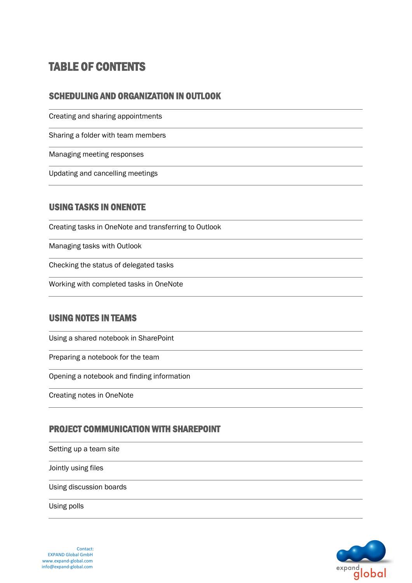## TABLE OF CONTENTS

#### SCHEDULING AND ORGANIZATION IN OUTLOOK

Creating and sharing appointments

Sharing a folder with team members

Managing meeting responses

Updating and cancelling meetings

#### USING TASKS IN ONENOTE

Creating tasks in OneNote and transferring to Outlook

Managing tasks with Outlook

Checking the status of delegated tasks

Working with completed tasks in OneNote

#### USING NOTES IN TEAMS

Using a shared notebook in SharePoint

Preparing a notebook for the team

Opening a notebook and finding information

Creating notes in OneNote

#### PROJECT COMMUNICATION WITH SHAREPOINT

Setting up a team site

Jointly using files

Using discussion boards

Using polls